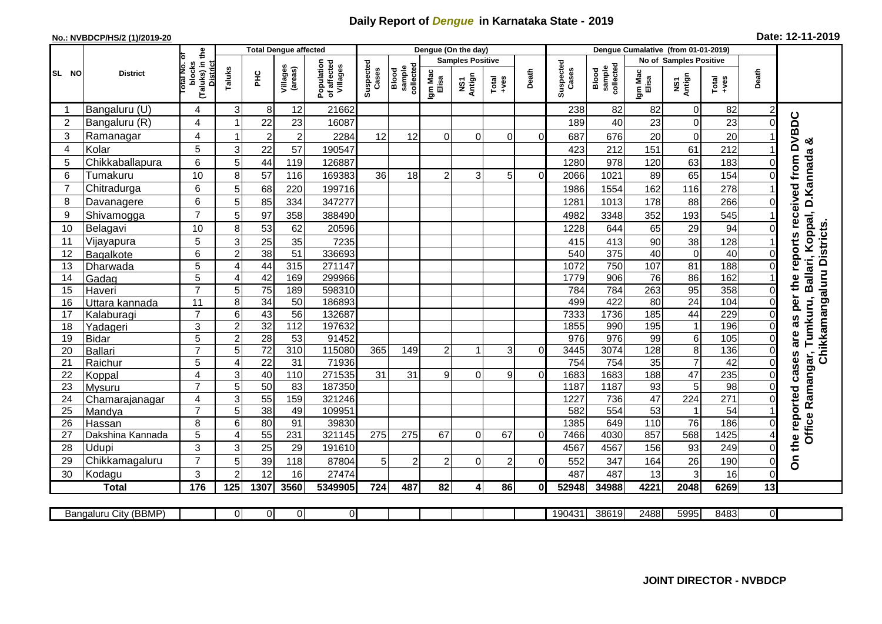## **Daily Report of** *Dengue* **in Karnataka State - 2019**

## **No.: NVBDCP/HS/2 (1)/2019-20 Date: 12-11-2019**

|                |                       |                                       |                     |                                    | <b>Total Dengue affected</b> |                                       |                    |                              | Dengue (On the day) |                                |                |              |                    |                              |                  |                                  |               |                      |                                        |
|----------------|-----------------------|---------------------------------------|---------------------|------------------------------------|------------------------------|---------------------------------------|--------------------|------------------------------|---------------------|--------------------------------|----------------|--------------|--------------------|------------------------------|------------------|----------------------------------|---------------|----------------------|----------------------------------------|
|                |                       | ō                                     |                     |                                    |                              |                                       |                    |                              |                     | <b>Samples Positive</b>        |                |              |                    |                              |                  | No of Samples Positive           |               |                      |                                        |
| SL NO          | <b>District</b>       | (Taluks) in the<br>blocks<br>otal No. | Taluks              | Ξ                                  | Villages<br>(areas)          | Population<br>of affected<br>Villages | Suspected<br>Cases | sample<br>collected<br>Blood | Igm Mac<br>Elisa    | Antign<br>$\mathbf{\tilde{s}}$ | Total<br>+ves  | Death        | Suspected<br>Cases | Blood<br>sample<br>collected | Igm Mac<br>Elisa | NS1<br>Antign                    | Total<br>+ves | Death                |                                        |
|                | Bangaluru (U)         | 4                                     | 3                   | 8                                  | 12                           | 21662                                 |                    |                              |                     |                                |                |              | 238                | 82                           | 82               | $\overline{0}$                   | 82            |                      |                                        |
| $\overline{2}$ | Bangaluru (R)         | 4                                     | 1                   | 22                                 | 23                           | 16087                                 |                    |                              |                     |                                |                |              | 189                | 40                           | 23               | $\overline{0}$                   | 23            | O                    | as per the reports received from DVBDC |
| 3              | Ramanagar             | 4                                     | 1                   | $\overline{\mathbf{c}}$            | $\boldsymbol{2}$             | 2284                                  | 12                 | 12                           | $\Omega$            | 0                              | $\Omega$       | $\Omega$     | 687                | 676                          | 20               | $\overline{0}$                   | 20            |                      | య                                      |
| $\overline{4}$ | Kolar                 | 5                                     | 3                   | 22                                 | 57                           | 190547                                |                    |                              |                     |                                |                |              | 423                | 212                          | 151              | 61                               | 212           |                      |                                        |
| 5              | Chikkaballapura       | 6                                     | 5                   | 44                                 | 119                          | 126887                                |                    |                              |                     |                                |                |              | 1280               | 978                          | 120              | 63                               | 183           |                      | Tumkuru, Ballari, Koppal, D.Kannada    |
| 6              | Tumakuru              | 10                                    | 8                   | 57                                 | 116                          | 169383                                | 36                 | 18                           | $\overline{2}$      | 3                              | 5              | $\Omega$     | 2066               | 1021                         | 89               | 65                               | 154           |                      |                                        |
| $\overline{7}$ | Chitradurga           | $6\phantom{1}$                        | 5                   | 68                                 | 220                          | 199716                                |                    |                              |                     |                                |                |              | 1986               | 1554                         | 162              | 116                              | 278           |                      |                                        |
| 8              | Davanagere            | 6                                     | 5                   | 85                                 | 334                          | 347277                                |                    |                              |                     |                                |                |              | 1281               | 1013                         | 178              | 88                               | 266           | 0                    |                                        |
| 9              | Shivamogga            | $\overline{7}$                        | 5                   | 97                                 | 358                          | 388490                                |                    |                              |                     |                                |                |              | 4982               | 3348                         | 352              | 193                              | 545           |                      |                                        |
| 10             | Belagavi              | 10                                    | 8                   | 53                                 | 62                           | 20596                                 |                    |                              |                     |                                |                |              | 1228               | 644                          | 65               | 29                               | 94            | 0                    | Chikkamangaluru Districts              |
| 11             | Vijayapura            | 5                                     | 3                   | $\overline{25}$                    | 35                           | 7235                                  |                    |                              |                     |                                |                |              | 415                | 413                          | 90               | 38                               | 128           |                      |                                        |
| 12             | Bagalkote             | $6\phantom{1}$                        | $\overline{c}$      | 38                                 | 51                           | 336693                                |                    |                              |                     |                                |                |              | 540                | 375                          | 40               | $\overline{0}$                   | 40            | $\Omega$             |                                        |
| 13             | Dharwada              | 5                                     | $\overline{4}$      | 44                                 | 315                          | 271147                                |                    |                              |                     |                                |                |              | 1072               | 750                          | 107              | $\overline{81}$                  | 188           | 0                    |                                        |
| 14             | Gadag                 | $\overline{5}$                        | $\overline{4}$      | 42                                 | 169                          | 299966                                |                    |                              |                     |                                |                |              | 1779               | 906                          | 76               | 86                               | 162           |                      |                                        |
| 15             | Haveri                | $\overline{7}$                        | 5                   | $\overline{75}$                    | 189                          | 598310                                |                    |                              |                     |                                |                |              | 784                | 784                          | 263              | 95                               | 358           | 0                    |                                        |
| 16             | Uttara kannada        | 11                                    | 8                   | 34                                 | 50                           | 186893                                |                    |                              |                     |                                |                |              | 499                | 422                          | $\overline{80}$  | $\overline{24}$                  | 104           | $\Omega$             |                                        |
| 17             | Kalaburagi            | $\overline{7}$                        | 6                   | 43                                 | $\overline{56}$              | 132687                                |                    |                              |                     |                                |                |              | 7333               | 1736                         | 185              | 44                               | 229           |                      |                                        |
| 18             | Yadageri              | 3                                     | $\overline{c}$      | 32                                 | 112                          | 197632                                |                    |                              |                     |                                |                |              | 1855               | 990                          | 195              | $\mathbf 1$                      | 196           |                      |                                        |
| 19             | <b>Bidar</b>          | 5<br>$\overline{7}$                   | $\overline{c}$      | 28                                 | 53                           | 91452                                 |                    |                              |                     | 1                              |                |              | 976                | 976                          | 99               | $6 \mid$                         | 105           | 0                    | are                                    |
| 20<br>21       | <b>Ballari</b>        | 5                                     | 5<br>$\overline{4}$ | $\overline{72}$<br>$\overline{22}$ | 310<br>31                    | 115080<br>71936                       | 365                | 149                          | 2                   |                                | 3              | $\mathbf 0$  | 3445<br>754        | 3074<br>754                  | 128<br>35        | 8 <sup>1</sup><br>$\overline{7}$ | 136<br>42     | $\Omega$<br>$\Omega$ |                                        |
| 22             | Raichur<br>Koppal     | $\overline{4}$                        | 3                   | 40                                 | 110                          | 271535                                | 31                 | 31                           | 9                   | 0                              | 9              | $\mathbf 0$  | 1683               | 1683                         | 188              | $\overline{47}$                  | 235           | $\Omega$             | cases                                  |
| 23             | Mysuru                | $\overline{7}$                        | 5                   | 50                                 | 83                           | 187350                                |                    |                              |                     |                                |                |              | 1187               | 1187                         | $\overline{93}$  | 5                                | 98            | 0                    |                                        |
| 24             | Chamarajanagar        | 4                                     | $\overline{3}$      | 55                                 | 159                          | 321246                                |                    |                              |                     |                                |                |              | 1227               | 736                          | 47               | $\overline{224}$                 | 271           | 0                    | Ramangar,                              |
| 25             | Mandya                | $\overline{7}$                        | 5                   | 38                                 | 49                           | 109951                                |                    |                              |                     |                                |                |              | 582                | 554                          | 53               | $\mathbf 1$                      | 54            |                      |                                        |
| 26             | Hassan                | 8                                     | 6                   | 80                                 | 91                           | 39830                                 |                    |                              |                     |                                |                |              | 1385               | 649                          | 110              | 76                               | 186           | 0                    |                                        |
| 27             | Dakshina Kannada      | 5                                     | $\overline{4}$      | 55                                 | 231                          | 321145                                | 275                | 275                          | 67                  | 0                              | 67             | $\Omega$     | 7466               | 4030                         | 857              | 568                              | 1425          |                      | Office                                 |
| 28             | Udupi                 | 3                                     | 3                   | 25                                 | 29                           | 191610                                |                    |                              |                     |                                |                |              | 4567               | 4567                         | 156              | 93                               | 249           | ი                    |                                        |
| 29             | Chikkamagaluru        | $\overline{7}$                        | 5                   | 39                                 | 118                          | 87804                                 | 5 <sup>1</sup>     | $\overline{2}$               | 2                   | 0                              | $\overline{2}$ | $\Omega$     | 552                | 347                          | 164              | 26                               | 190           | 0                    | On the reported                        |
| 30             | Kodagu                | 3                                     | $\overline{2}$      | 12                                 | 16                           | 27474                                 |                    |                              |                     |                                |                |              | 487                | 487                          | 13               | 3                                | 16            | 0                    |                                        |
|                | <b>Total</b>          | 176                                   | 125                 | 1307                               | 3560                         | 5349905                               | 724                | 487                          | 82                  | 4                              | 86             | $\mathbf{0}$ | 52948              | 34988                        | 4221             | 2048                             | 6269          | 13                   |                                        |
|                |                       |                                       |                     |                                    |                              |                                       |                    |                              |                     |                                |                |              |                    |                              |                  |                                  |               |                      |                                        |
|                | Bangaluru City (BBMP) |                                       | $\Omega$            | $\overline{0}$                     | $\overline{0}$               | $\overline{0}$                        |                    |                              |                     |                                |                |              | 190431             | 38619                        | 2488             | 5995                             | 8483          | $\overline{0}$       |                                        |